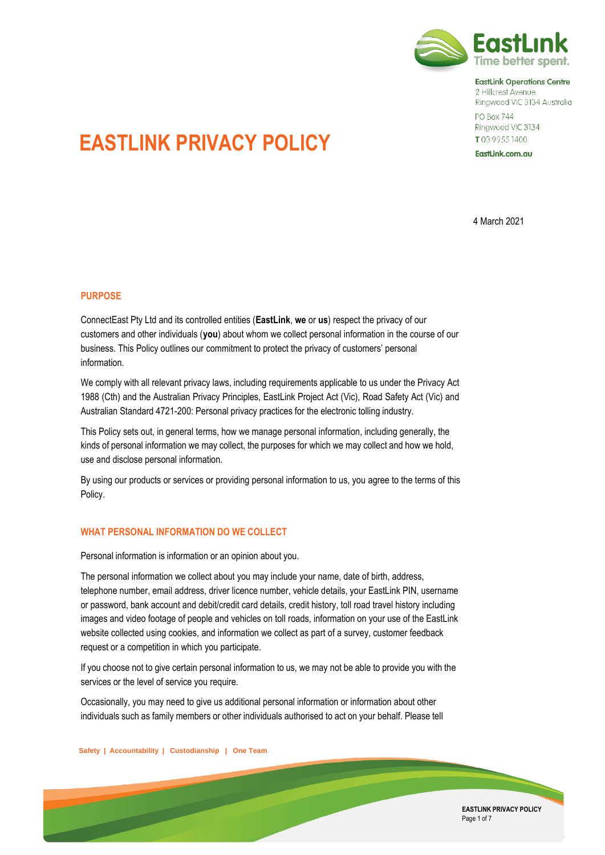

**EastLink Operations Centre** 2 Hillcrest Avenue Ringwood VIC 3134 Australia

**PO Box 744** Ringwood VIC 3134 T0399551400

EastLink.com.au

# **EASTLINK PRIVACY POLICY**

4 March 2021

# **PURPOSE**

ConnectEast Pty Ltd and its controlled entities (**EastLink**, **we** or **us**) respect the privacy of our customers and other individuals (**you**) about whom we collect personal information in the course of our business. This Policy outlines our commitment to protect the privacy of customers' personal information.

We comply with all relevant privacy laws, including requirements applicable to us under the Privacy Act 1988 (Cth) and the Australian Privacy Principles, EastLink Project Act (Vic), Road Safety Act (Vic) and Australian Standard 4721-200: Personal privacy practices for the electronic tolling industry.

This Policy sets out, in general terms, how we manage personal information, including generally, the kinds of personal information we may collect, the purposes for which we may collect and how we hold, use and disclose personal information.

By using our products or services or providing personal information to us, you agree to the terms of this Policy.

# **WHAT PERSONAL INFORMATION DO WE COLLECT**

Personal information is information or an opinion about you.

The personal information we collect about you may include your name, date of birth, address, telephone number, email address, driver licence number, vehicle details, your EastLink PIN, username or password, bank account and debit/credit card details, credit history, toll road travel history including images and video footage of people and vehicles on toll roads, information on your use of the EastLink website collected using cookies, and information we collect as part of a survey, customer feedback request or a competition in which you participate.

If you choose not to give certain personal information to us, we may not be able to provide you with the services or the level of service you require.

Occasionally, you may need to give us additional personal information or information about other individuals such as family members or other individuals authorised to act on your behalf. Please tell

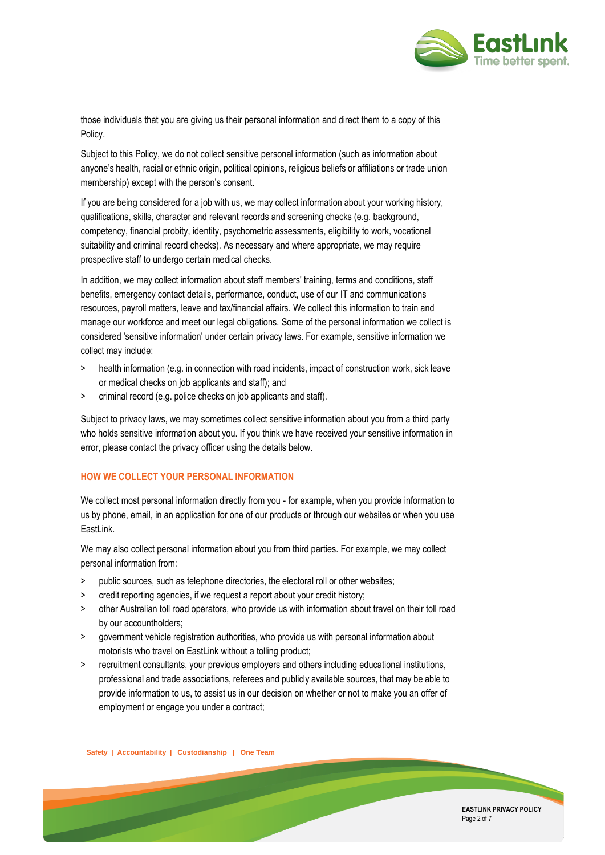

those individuals that you are giving us their personal information and direct them to a copy of this Policy.

Subject to this Policy, we do not collect sensitive personal information (such as information about anyone's health, racial or ethnic origin, political opinions, religious beliefs or affiliations or trade union membership) except with the person's consent.

If you are being considered for a job with us, we may collect information about your working history, qualifications, skills, character and relevant records and screening checks (e.g. background, competency, financial probity, identity, psychometric assessments, eligibility to work, vocational suitability and criminal record checks). As necessary and where appropriate, we may require prospective staff to undergo certain medical checks.

In addition, we may collect information about staff members' training, terms and conditions, staff benefits, emergency contact details, performance, conduct, use of our IT and communications resources, payroll matters, leave and tax/financial affairs. We collect this information to train and manage our workforce and meet our legal obligations. Some of the personal information we collect is considered 'sensitive information' under certain privacy laws. For example, sensitive information we collect may include:

- > health information (e.g. in connection with road incidents, impact of construction work, sick leave or medical checks on job applicants and staff); and
- > criminal record (e.g. police checks on job applicants and staff).

Subject to privacy laws, we may sometimes collect sensitive information about you from a third party who holds sensitive information about you. If you think we have received your sensitive information in error, please contact the privacy officer using the details below.

## **HOW WE COLLECT YOUR PERSONAL INFORMATION**

We collect most personal information directly from you - for example, when you provide information to us by phone, email, in an application for one of our products or through our websites or when you use EastLink.

We may also collect personal information about you from third parties. For example, we may collect personal information from:

- > public sources, such as telephone directories, the electoral roll or other websites;
- > credit reporting agencies, if we request a report about your credit history;
- > other Australian toll road operators, who provide us with information about travel on their toll road by our accountholders;
- > government vehicle registration authorities, who provide us with personal information about motorists who travel on EastLink without a tolling product;
- > recruitment consultants, your previous employers and others including educational institutions, professional and trade associations, referees and publicly available sources, that may be able to provide information to us, to assist us in our decision on whether or not to make you an offer of employment or engage you under a contract;

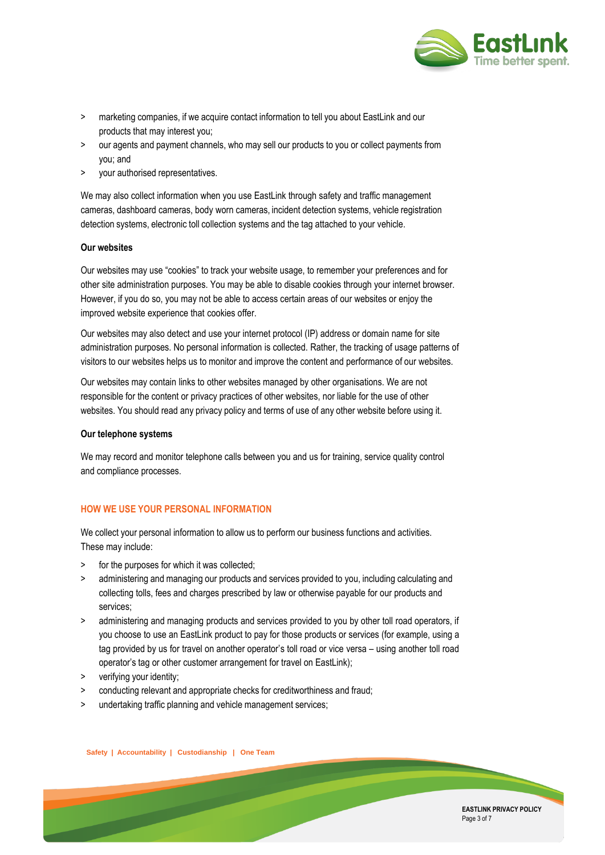

- > marketing companies, if we acquire contact information to tell you about EastLink and our products that may interest you;
- > our agents and payment channels, who may sell our products to you or collect payments from you; and
- > your authorised representatives.

We may also collect information when you use EastLink through safety and traffic management cameras, dashboard cameras, body worn cameras, incident detection systems, vehicle registration detection systems, electronic toll collection systems and the tag attached to your vehicle.

#### **Our websites**

Our websites may use "cookies" to track your website usage, to remember your preferences and for other site administration purposes. You may be able to disable cookies through your internet browser. However, if you do so, you may not be able to access certain areas of our websites or enjoy the improved website experience that cookies offer.

Our websites may also detect and use your internet protocol (IP) address or domain name for site administration purposes. No personal information is collected. Rather, the tracking of usage patterns of visitors to our websites helps us to monitor and improve the content and performance of our websites.

Our websites may contain links to other websites managed by other organisations. We are not responsible for the content or privacy practices of other websites, nor liable for the use of other websites. You should read any privacy policy and terms of use of any other website before using it.

#### **Our telephone systems**

We may record and monitor telephone calls between you and us for training, service quality control and compliance processes.

## **HOW WE USE YOUR PERSONAL INFORMATION**

We collect your personal information to allow us to perform our business functions and activities. These may include:

- > for the purposes for which it was collected;
- > administering and managing our products and services provided to you, including calculating and collecting tolls, fees and charges prescribed by law or otherwise payable for our products and services;
- > administering and managing products and services provided to you by other toll road operators, if you choose to use an EastLink product to pay for those products or services (for example, using a tag provided by us for travel on another operator's toll road or vice versa – using another toll road operator's tag or other customer arrangement for travel on EastLink);
- > verifying your identity;
- > conducting relevant and appropriate checks for creditworthiness and fraud;
- undertaking traffic planning and vehicle management services;

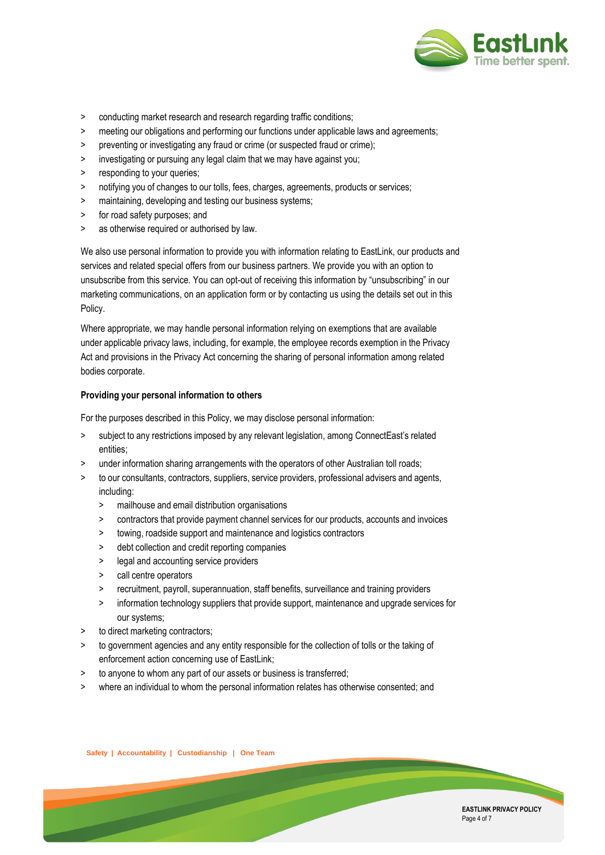

- > conducting market research and research regarding traffic conditions;
- > meeting our obligations and performing our functions under applicable laws and agreements;
- > preventing or investigating any fraud or crime (or suspected fraud or crime);
- > investigating or pursuing any legal claim that we may have against you;
- > responding to your queries;
- > notifying you of changes to our tolls, fees, charges, agreements, products or services;
- > maintaining, developing and testing our business systems;
- > for road safety purposes; and
- > as otherwise required or authorised by law.

We also use personal information to provide you with information relating to EastLink, our products and services and related special offers from our business partners. We provide you with an option to unsubscribe from this service. You can opt-out of receiving this information by "unsubscribing" in our marketing communications, on an application form or by contacting us using the details set out in this Policy.

Where appropriate, we may handle personal information relying on exemptions that are available under applicable privacy laws, including, for example, the employee records exemption in the Privacy Act and provisions in the Privacy Act concerning the sharing of personal information among related bodies corporate.

#### **Providing your personal information to others**

For the purposes described in this Policy, we may disclose personal information:

- > subject to any restrictions imposed by any relevant legislation, among ConnectEast's related entities;
- > under information sharing arrangements with the operators of other Australian toll roads;
- > to our consultants, contractors, suppliers, service providers, professional advisers and agents, including:
	- > mailhouse and email distribution organisations
	- > contractors that provide payment channel services for our products, accounts and invoices
	- > towing, roadside support and maintenance and logistics contractors
	- debt collection and credit reporting companies
	- > legal and accounting service providers
	- > call centre operators
	- > recruitment, payroll, superannuation, staff benefits, surveillance and training providers
	- > information technology suppliers that provide support, maintenance and upgrade services for our systems;
- > to direct marketing contractors;
- > to government agencies and any entity responsible for the collection of tolls or the taking of enforcement action concerning use of EastLink;
- > to anyone to whom any part of our assets or business is transferred;
- > where an individual to whom the personal information relates has otherwise consented; and

**EASTLINK PRIVACY POLICY** Page 4 of 7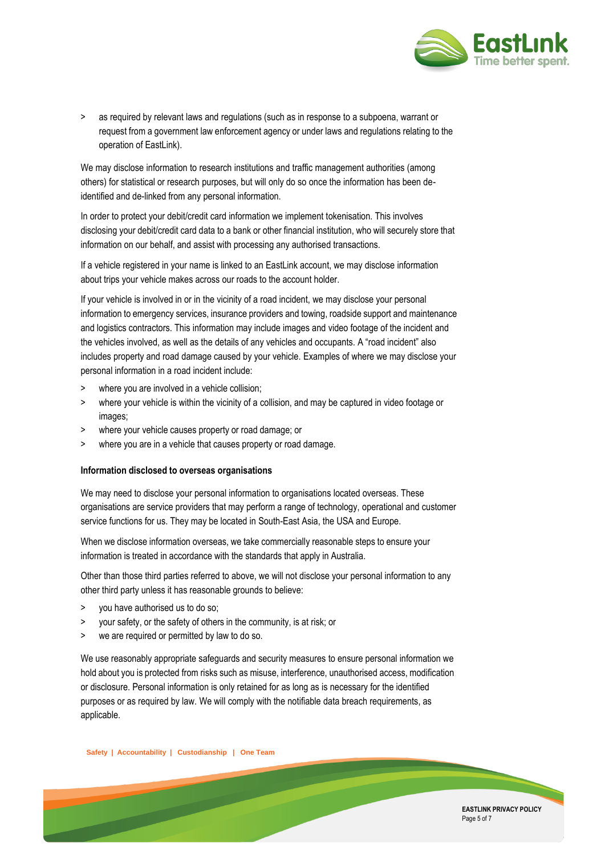

> as required by relevant laws and regulations (such as in response to a subpoena, warrant or request from a government law enforcement agency or under laws and regulations relating to the operation of EastLink).

We may disclose information to research institutions and traffic management authorities (among others) for statistical or research purposes, but will only do so once the information has been deidentified and de-linked from any personal information.

In order to protect your debit/credit card information we implement tokenisation. This involves disclosing your debit/credit card data to a bank or other financial institution, who will securely store that information on our behalf, and assist with processing any authorised transactions.

If a vehicle registered in your name is linked to an EastLink account, we may disclose information about trips your vehicle makes across our roads to the account holder.

If your vehicle is involved in or in the vicinity of a road incident, we may disclose your personal information to emergency services, insurance providers and towing, roadside support and maintenance and logistics contractors. This information may include images and video footage of the incident and the vehicles involved, as well as the details of any vehicles and occupants. A "road incident" also includes property and road damage caused by your vehicle. Examples of where we may disclose your personal information in a road incident include:

- > where you are involved in a vehicle collision;
- > where your vehicle is within the vicinity of a collision, and may be captured in video footage or images;
- > where your vehicle causes property or road damage; or
- > where you are in a vehicle that causes property or road damage.

#### **Information disclosed to overseas organisations**

We may need to disclose your personal information to organisations located overseas. These organisations are service providers that may perform a range of technology, operational and customer service functions for us. They may be located in South-East Asia, the USA and Europe.

When we disclose information overseas, we take commercially reasonable steps to ensure your information is treated in accordance with the standards that apply in Australia.

Other than those third parties referred to above, we will not disclose your personal information to any other third party unless it has reasonable grounds to believe:

- > you have authorised us to do so;
- > your safety, or the safety of others in the community, is at risk; or
- > we are required or permitted by law to do so.

We use reasonably appropriate safeguards and security measures to ensure personal information we hold about you is protected from risks such as misuse, interference, unauthorised access, modification or disclosure. Personal information is only retained for as long as is necessary for the identified purposes or as required by law. We will comply with the notifiable data breach requirements, as applicable.

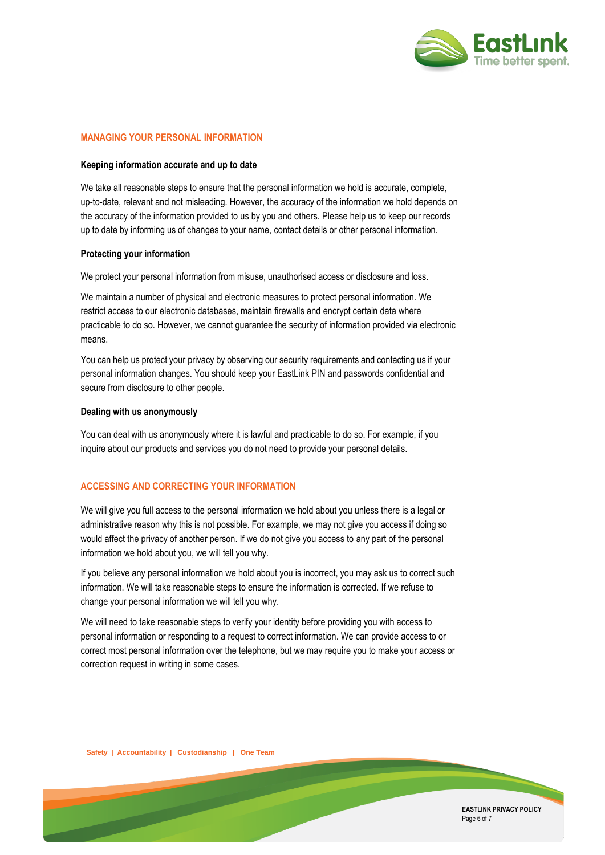

### **MANAGING YOUR PERSONAL INFORMATION**

#### **Keeping information accurate and up to date**

We take all reasonable steps to ensure that the personal information we hold is accurate, complete, up-to-date, relevant and not misleading. However, the accuracy of the information we hold depends on the accuracy of the information provided to us by you and others. Please help us to keep our records up to date by informing us of changes to your name, contact details or other personal information.

#### **Protecting your information**

We protect your personal information from misuse, unauthorised access or disclosure and loss.

We maintain a number of physical and electronic measures to protect personal information. We restrict access to our electronic databases, maintain firewalls and encrypt certain data where practicable to do so. However, we cannot guarantee the security of information provided via electronic means.

You can help us protect your privacy by observing our security requirements and contacting us if your personal information changes. You should keep your EastLink PIN and passwords confidential and secure from disclosure to other people.

#### **Dealing with us anonymously**

You can deal with us anonymously where it is lawful and practicable to do so. For example, if you inquire about our products and services you do not need to provide your personal details.

## **ACCESSING AND CORRECTING YOUR INFORMATION**

We will give you full access to the personal information we hold about you unless there is a legal or administrative reason why this is not possible. For example, we may not give you access if doing so would affect the privacy of another person. If we do not give you access to any part of the personal information we hold about you, we will tell you why.

If you believe any personal information we hold about you is incorrect, you may ask us to correct such information. We will take reasonable steps to ensure the information is corrected. If we refuse to change your personal information we will tell you why.

We will need to take reasonable steps to verify your identity before providing you with access to personal information or responding to a request to correct information. We can provide access to or correct most personal information over the telephone, but we may require you to make your access or correction request in writing in some cases.